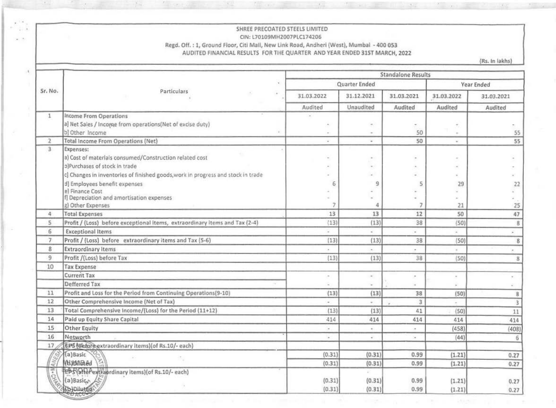#### SHREE PRECOATED STEELS LIMITED CIN: L70109MH2007PLC174206 Regd. Off.: 1, Ground Floor, Citi Mall, New Link Road, Andheri (West), Mumbal - 400 053 AUDITED FINANCIAL RESULTS FOR THE QUARTER AND YEAR ENDED 31ST MARCH, 2022

180.00

 $X$  .

 $M_{\rm{esc}}$ 

 $\sim$ 

 $\cdots$ 

 $\mathcal{A}_i$ 

 $\sim$   $^{-1}$ 

 $F = 1.5014$ 

 $\mathcal{F}_{\mathcal{F}}$  .

(Rs. In lakhs)

| Sr. No.        | Particulars<br>×.                                                                | <b>Standalone Results</b> |                          |                          |                       |                       |  |
|----------------|----------------------------------------------------------------------------------|---------------------------|--------------------------|--------------------------|-----------------------|-----------------------|--|
|                |                                                                                  |                           | Quarter Ended            |                          |                       | Year Ended            |  |
|                |                                                                                  | 31.03.2022                | 31.12.2021<br>Unaudited  | 31.03.2021<br>Audited    | 31.03.2022<br>Audited | 31.03.2021<br>Audited |  |
|                |                                                                                  | Audited                   |                          |                          |                       |                       |  |
| 1              | Income From Operations                                                           |                           |                          |                          |                       |                       |  |
|                | a) Net Sales / Income from operations(Net of excise duty)                        | $\ddot{\phantom{0}}$      |                          | $\sim$                   | $\sim$                |                       |  |
|                | b) Other Income                                                                  |                           |                          | 50                       | $\alpha$              | 55                    |  |
| $\mathbf{2}$   | Total Income From Operations (Net)                                               | ٠                         | $\overline{\phantom{a}}$ | 50                       | $\omega$              | 55                    |  |
| 3              | Expenses:                                                                        |                           |                          |                          |                       |                       |  |
|                | a) Cost of materials consumed/Construction related cost                          |                           |                          |                          |                       |                       |  |
|                | o)Purchases of stock in trade                                                    |                           |                          |                          |                       |                       |  |
|                | c] Changes in inventories of finished goods, work in progress and stock in trade |                           |                          |                          |                       |                       |  |
|                | d) Employees benefit expenses                                                    | 6                         | 9                        | 5                        | 29                    | 22                    |  |
|                | el Finance Cost                                                                  |                           |                          |                          |                       |                       |  |
|                | f] Depreciation and amortisation expenses<br>g) Other Expenses                   | 7                         | 4                        | $\overline{7}$           | 21                    |                       |  |
| 4              | <b>Total Expenses</b>                                                            | 13                        | 13                       | 12                       | 50                    | 25<br>47              |  |
| 5              | Profit / (Loss) before exceptional items, extraordinary items and Tax (2-4)      | (13)                      | (13)                     | 38                       | (50)                  | $\,$ 8                |  |
| 6              | <b>Exceptional Items</b>                                                         | $\omega$                  | $\sim$                   | $\sim$                   | $\omega$              |                       |  |
| $\overline{7}$ | Profit / (Loss) before extraordinary items and Tax (5-6)                         | (13)                      | (13)                     | 38                       | (50)                  | ú.                    |  |
| 8              | <b>Extraordinary Items</b>                                                       | ×.                        | $\alpha$ :               |                          |                       | 8                     |  |
| 9              | Profit /(Loss) before Tax                                                        | (13)                      |                          | $\sim$                   | $\alpha$              | $\omega$              |  |
| 10             |                                                                                  |                           | (13)                     | 38                       | (50)                  | 8                     |  |
|                | <b>Tax Expense</b><br><b>Current Tax</b>                                         |                           |                          |                          |                       |                       |  |
|                |                                                                                  | $\sim$                    | $\sim$                   | $\sim$                   |                       |                       |  |
|                | Defferred Tax                                                                    |                           |                          | ÷                        |                       |                       |  |
| 11             | Profit and Loss for the Period from Continuing Operations(9-10)                  | (13)                      | (13)                     | 38                       | (50)                  | 8                     |  |
| 12             | Other Comprehensive Income (Net of Tax)                                          | ٠                         | $\sim$                   | 3                        | $\sim$                | 3                     |  |
| 13             | Total Comprehensive Income/(Loss) for the Period (11+12)                         | (13)                      | (13)                     | 41                       | (50)                  | 11                    |  |
| 14             | Paid up Equity Share Capital                                                     | 414                       | 414                      | 414                      | 414                   | 414                   |  |
| 15             | Other Equity                                                                     | ÷.                        | $\alpha$ .               | $\overline{\phantom{a}}$ | (458)                 | (408)                 |  |
| 16             | Networth                                                                         | $\blacksquare$            | ÷                        | œ.                       | (44)                  | 6                     |  |
| 17             | EPS (Before extraordinary items) (of Rs.10/- each)                               |                           |                          |                          |                       |                       |  |
|                | (a) Basic                                                                        | (0.31)                    | (0.31)                   | 0.99                     | (1.21)                | 0.27                  |  |
|                | <b>NUMBRED</b>                                                                   | (0.31)                    | (0.31)                   | 0.99                     | (1.21)                | 0.27                  |  |
|                | EPS (after extraordinary items) (of Rs.10/- each)                                |                           |                          |                          |                       |                       |  |
|                | (a) Basico                                                                       | (0.31)                    | (0.31)                   | 0.99                     | (1.21)                | 0.27                  |  |
|                | (b)Diluted                                                                       | (0.31)                    | (0.31)                   | 0.99                     | (1.21)                | 0.27                  |  |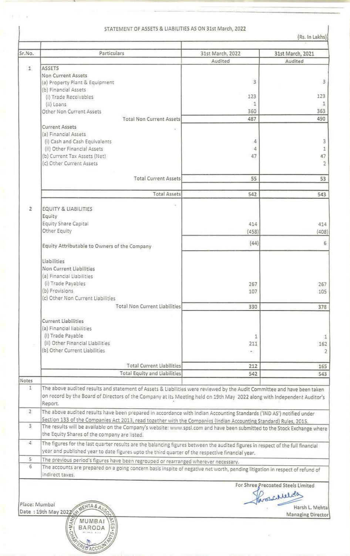## I STATEMENT OF ASSETS & LIABILITIES AS ON 31st March, 2022

•

**With**  $\bar{K}$ 

| Sr.No.         | Particulars                                                                                                                                                              | 31st March, 2022 | 31st March, 2021                            |  |  |  |  |
|----------------|--------------------------------------------------------------------------------------------------------------------------------------------------------------------------|------------------|---------------------------------------------|--|--|--|--|
|                |                                                                                                                                                                          | Audited          | Audited                                     |  |  |  |  |
| $\mathbf{1}$   | <b>ASSETS</b>                                                                                                                                                            |                  |                                             |  |  |  |  |
|                | Non Current Assets                                                                                                                                                       |                  | $\sqrt{3}$                                  |  |  |  |  |
|                | (a) Property Plant & Equipment                                                                                                                                           | 3                |                                             |  |  |  |  |
|                | (b) Financial Assets                                                                                                                                                     |                  |                                             |  |  |  |  |
|                | (i) Trade Receivables                                                                                                                                                    | 123              | 123                                         |  |  |  |  |
|                | (ii) Loans                                                                                                                                                               | $\mathbf{1}$     | $\mathbf{1}$                                |  |  |  |  |
|                | Other Non Current Assets                                                                                                                                                 | 360              | 363                                         |  |  |  |  |
|                | <b>Total Non Current Assets</b>                                                                                                                                          | 487              | 490                                         |  |  |  |  |
|                | <b>Current Assets</b>                                                                                                                                                    |                  |                                             |  |  |  |  |
|                | (a) Financial Assets                                                                                                                                                     |                  |                                             |  |  |  |  |
|                | (i) Cash and Cash Equivalents                                                                                                                                            | 4                |                                             |  |  |  |  |
|                | (ii) Other Financial Assets                                                                                                                                              | 4                |                                             |  |  |  |  |
|                | (b) Current Tax Assets (Net)                                                                                                                                             | 47               |                                             |  |  |  |  |
|                | (c) Other Current Assets                                                                                                                                                 |                  | $\begin{array}{c} 1 \\ 47 \\ 2 \end{array}$ |  |  |  |  |
|                |                                                                                                                                                                          |                  |                                             |  |  |  |  |
|                | <b>Total Current Assets</b>                                                                                                                                              | 55               | 53                                          |  |  |  |  |
|                |                                                                                                                                                                          |                  |                                             |  |  |  |  |
|                | <b>Total Assets</b>                                                                                                                                                      | 542              | 543                                         |  |  |  |  |
|                |                                                                                                                                                                          |                  |                                             |  |  |  |  |
| $\mathbf{Z}$   |                                                                                                                                                                          |                  |                                             |  |  |  |  |
|                | EQUITY & LIABILITIES                                                                                                                                                     |                  |                                             |  |  |  |  |
|                | Equity                                                                                                                                                                   |                  |                                             |  |  |  |  |
|                | Equity Share Capital                                                                                                                                                     | 414              | 414                                         |  |  |  |  |
|                | Other Equity                                                                                                                                                             | (458)            | (408)                                       |  |  |  |  |
|                |                                                                                                                                                                          | (44)             |                                             |  |  |  |  |
|                | Equity Attributable to Owners of the Company                                                                                                                             |                  |                                             |  |  |  |  |
|                |                                                                                                                                                                          |                  |                                             |  |  |  |  |
|                | Liabilities                                                                                                                                                              |                  |                                             |  |  |  |  |
|                | Non Current Liabilities                                                                                                                                                  |                  |                                             |  |  |  |  |
|                | (a) Financial Liabilities                                                                                                                                                |                  |                                             |  |  |  |  |
|                | (i) Trade Payables                                                                                                                                                       | 267              | 267                                         |  |  |  |  |
|                | (b) Provisions                                                                                                                                                           | 107              | 105                                         |  |  |  |  |
|                | (c) Other Non Current Liabilities                                                                                                                                        |                  |                                             |  |  |  |  |
|                | Total Non Current Liabilities                                                                                                                                            | 330              | 378                                         |  |  |  |  |
|                |                                                                                                                                                                          |                  |                                             |  |  |  |  |
|                | <b>Current Liabilities</b>                                                                                                                                               |                  |                                             |  |  |  |  |
|                | (a) Financial liabilities                                                                                                                                                |                  |                                             |  |  |  |  |
|                | (i) Trade Payable                                                                                                                                                        |                  |                                             |  |  |  |  |
|                | (ii) Other Financial Liabilities                                                                                                                                         | 1                |                                             |  |  |  |  |
|                |                                                                                                                                                                          | 211              | 162                                         |  |  |  |  |
|                | (b) Other Current Liabilities                                                                                                                                            | $\pm 1$          |                                             |  |  |  |  |
|                |                                                                                                                                                                          |                  |                                             |  |  |  |  |
|                | <b>Total Current Liabilities</b>                                                                                                                                         | 212              | 165                                         |  |  |  |  |
|                | <b>Total Equity and Liabilities</b>                                                                                                                                      | 542              | 543                                         |  |  |  |  |
| Notes          |                                                                                                                                                                          |                  |                                             |  |  |  |  |
| 1              | The above audited results and statement of Assets & Liabilities were reviewed by the Audit Committee and have been taken                                                 |                  |                                             |  |  |  |  |
|                | on record by the Board of Directors of the Company at its Meeting held on 19th May 2022 along with Independent Auditor's                                                 |                  |                                             |  |  |  |  |
|                | Report.                                                                                                                                                                  |                  |                                             |  |  |  |  |
| $\overline{2}$ | The above audited results have been prepared in accordance with Indian Accounting Standards ('IND AS') notified under                                                    |                  |                                             |  |  |  |  |
|                | Section 133 of the Companies Act 2013, read together with the Companies (Indian Accounting Standard) Rules, 2015.                                                        |                  |                                             |  |  |  |  |
| 3              |                                                                                                                                                                          |                  |                                             |  |  |  |  |
|                | The results will be available on the Company's website: www.spsl.com and have been submitted to the Stock Exchange where<br>the Equity Shares of the company are listed. |                  |                                             |  |  |  |  |
|                |                                                                                                                                                                          |                  |                                             |  |  |  |  |
| $\overline{4}$ | The figures for the last quarter results are the balancing figures between the audited figures in respect of the full financial                                          |                  |                                             |  |  |  |  |
|                | year and published year to date figures upto the third quarter of the respective financial year.                                                                         |                  |                                             |  |  |  |  |
| 5.             | The previous period's figures have been regrouped or rearranged wherever necessary.                                                                                      |                  |                                             |  |  |  |  |
| 6              | The accounts are prepared on a going concern basis inspite of negative net worth, pending litigation in respect of refund of                                             |                  |                                             |  |  |  |  |
|                | indirect taxes.                                                                                                                                                          |                  |                                             |  |  |  |  |
|                |                                                                                                                                                                          |                  |                                             |  |  |  |  |
|                |                                                                                                                                                                          |                  | For Shree Precoated Steels Limited          |  |  |  |  |
|                |                                                                                                                                                                          |                  | proscilleto                                 |  |  |  |  |
|                | Place: Mumbai                                                                                                                                                            |                  |                                             |  |  |  |  |
|                | MEHTA & A.                                                                                                                                                               |                  | Harsh L. Mehtal                             |  |  |  |  |
|                | Date: 19th May 2022                                                                                                                                                      |                  | Managing Director                           |  |  |  |  |
|                | <b>ATES.</b><br><b>MUMBAI</b>                                                                                                                                            |                  |                                             |  |  |  |  |

F. 5 ERED ACCOUN

 $\mathbf{I}$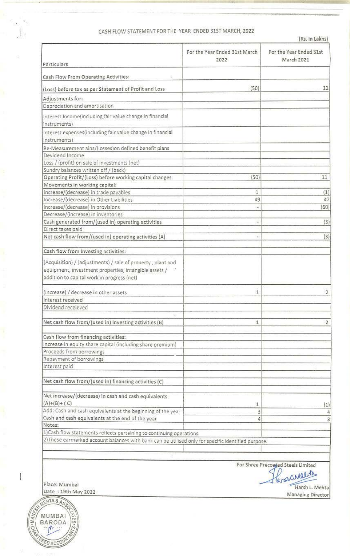## CASH FLOW STATEMENT FOR THE YEAR ENDED 31ST MARCH, 2022

|                                                                            | For the Year Ended 31st March<br>2022                                                               | For the Year Ended 31st<br><b>March 2021</b> |
|----------------------------------------------------------------------------|-----------------------------------------------------------------------------------------------------|----------------------------------------------|
| Particulars                                                                |                                                                                                     |                                              |
| Cash Flow From Operating Activities:                                       |                                                                                                     |                                              |
| (Loss) before tax as per Statement of Profit and Loss                      | (50)                                                                                                | 11                                           |
| Adjustments for:                                                           |                                                                                                     |                                              |
| Depreciation and amortisation                                              |                                                                                                     |                                              |
|                                                                            |                                                                                                     |                                              |
| Interest Income(including fair value change in financial<br>instruments)   |                                                                                                     |                                              |
| Interest expenses(including fair value change in financial<br>instruments) |                                                                                                     |                                              |
| Re-Measurement ains/(losses) on defined benefit plans                      |                                                                                                     |                                              |
| Devidend Income                                                            |                                                                                                     |                                              |
| Loss / (profit) on sale of investments (net)                               |                                                                                                     |                                              |
| Sundry balances written off / (back)                                       |                                                                                                     |                                              |
| Operating Profit/(Loss) before working capital changes                     | (50)                                                                                                | 11                                           |
| Movements in working capital:                                              |                                                                                                     |                                              |
| Increase/(decrease) in trade payables                                      | 1                                                                                                   | (1)                                          |
| Increase/(decrease) in Other Liabilities                                   | 49                                                                                                  | 47                                           |
| Increase/(decrease) in provisions                                          |                                                                                                     | (60)                                         |
| Decrease/(increase) in inventories                                         |                                                                                                     |                                              |
| Cash generated from/(used in) operating activities                         |                                                                                                     | (3)                                          |
| Direct taxes paid                                                          |                                                                                                     |                                              |
| Net cash flow from/(used in) operating activities (A)                      | ٠                                                                                                   | (3)                                          |
| Cash flow from Investing activities:                                       |                                                                                                     |                                              |
| (Acquisition) / (adjustments) / sale of property, plant and                |                                                                                                     |                                              |
| equipment, investment properties, intangible assets /                      |                                                                                                     |                                              |
| addition to capital work in progress (net)                                 |                                                                                                     |                                              |
| (Increase) / decrease in other assets                                      | 1                                                                                                   | $\overline{2}$                               |
| Interest received                                                          |                                                                                                     |                                              |
| Dividend receieved                                                         |                                                                                                     |                                              |
| X.                                                                         |                                                                                                     |                                              |
| Net cash flow from/(used in) investing activities (B)                      | 1                                                                                                   | $\overline{2}$                               |
| Cash flow from financing activities:                                       |                                                                                                     |                                              |
| Increase in equity share capital (including share premium)                 |                                                                                                     |                                              |
| Proceeds from borrowings                                                   |                                                                                                     |                                              |
| Repayment of borrowings                                                    |                                                                                                     |                                              |
| Interest paid                                                              |                                                                                                     |                                              |
| Net cash flow from/(used in) financing activities (C)                      |                                                                                                     |                                              |
| Net increase/(decrease) in cash and cash equivalents                       |                                                                                                     |                                              |
| $(A)+(B)+(C)$                                                              | 1                                                                                                   | (1)                                          |
| Add: Cash and cash equivalents at the beginning of the year                | 3                                                                                                   | 4                                            |
| Cash and cash equivalents at the end of the year                           | 4                                                                                                   | 3                                            |
| Notes:                                                                     |                                                                                                     |                                              |
| 1) Cash flow statements reflects pertaining to continuing operations.      |                                                                                                     |                                              |
|                                                                            | 2) These earmarked account balances with bank can be utilised only for specific identified purpose. |                                              |

For Shree Precoated Steels Limited<br>16

Harsh L. Mehta<br>Managing Director

Place: Mumbai Date : 19th May 2022



I

h.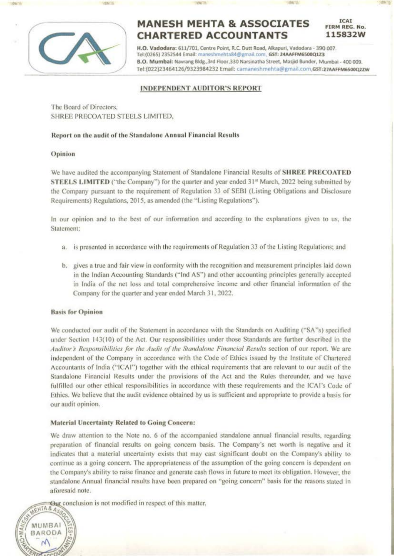

# **MANESH MEHTA & ASSOCIATES CHARTERED ACCOUNTANTS**

115832W H.O. Vadodara: 611/701, Centre Point, R.C. Dutt Road, Alkapuri, Vadodara - 390 007. Tel:(0265) 2352544 Email: maneshmehta84@gmail.com, GST: 24AAFFM6500Q1Z3 B.O. Mumbai: Navrang Bldg., 3rd Floor, 330 Narsinatha Street, Masjid Bunder, Mumbai - 400 009. Tel:(022)23464126/9323984232 Email: camaneshmehta@gmail.com.GST:27AAFFM6500022W

**ICAL** 

FIRM REG. No.

#### **INDEPENDENT AUDITOR'S REPORT**

The Board of Directors. SHREE PRECOATED STEELS LIMITED.

#### Report on the audit of the Standalone Annual Financial Results

#### Opinion

We have audited the accompanying Statement of Standalone Financial Results of SHREE PRECOATED STEELS LIMITED ("the Company") for the quarter and year ended 31<sup>st</sup> March, 2022 being submitted by the Company pursuant to the requirement of Regulation 33 of SEBI (Listing Obligations and Disclosure Requirements) Regulations, 2015, as amended (the "Listing Regulations").

In our opinion and to the best of our information and according to the explanations given to us, the Statement:

- a. is presented in accordance with the requirements of Regulation 33 of the Listing Regulations; and
- b. gives a true and fair view in conformity with the recognition and measurement principles laid down in the Indian Accounting Standards ("Ind AS") and other accounting principles generally accepted in India of the net loss and total comprehensive income and other financial information of the Company for the quarter and year ended March 31, 2022.

#### **Basis for Opinion**

We conducted our audit of the Statement in accordance with the Standards on Auditing ("SA"s) specified under Section 143(10) of the Act. Our responsibilities under those Standards are further described in the Auditor's Responsibilities for the Audit of the Standalone Financial Results section of our report. We are independent of the Company in accordance with the Code of Ethics issued by the Institute of Chartered Accountants of India ("ICAI") together with the ethical requirements that are relevant to our audit of the Standalone Financial Results under the provisions of the Act and the Rules thereunder, and we have fulfilled our other ethical responsibilities in accordance with these requirements and the ICAI's Code of Ethics. We believe that the audit evidence obtained by us is sufficient and appropriate to provide a basis for our audit opinion.

#### **Material Uncertainty Related to Going Concern:**

We draw attention to the Note no. 6 of the accompanied standalone annual financial results, regarding preparation of financial results on going concern basis. The Company's net worth is negative and it indicates that a material uncertainty exists that may cast significant doubt on the Company's ability to continue as a going concern. The appropriateness of the assumption of the going concern is dependent on the Company's ability to raise finance and generate cash flows in future to meet its obligation. However, the standalone Annual financial results have been prepared on "going concern" basis for the reasons stated in aforesaid note.

Our conclusion is not modified in respect of this matter.

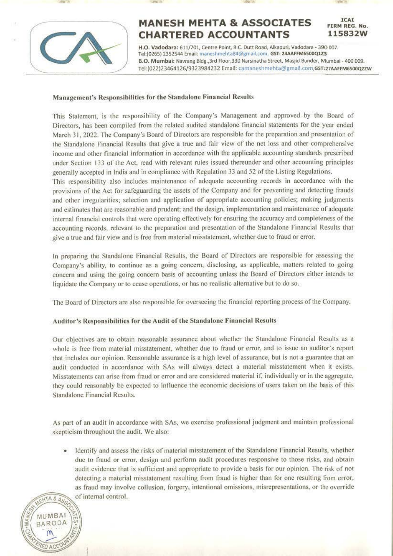

# - .... **MANESH MEHTA & ASSOCIATES CHARTERED ACCOUNTANTS**

H.O. Vadodara: 611/701, Centre Point, R.C. Dutt Road, Alkapuri, Vadodara - 390 007. Tel:(0265) 2352544 Email: maneshmehta84@gmail,com, GST: 24AAFFM6SOOQ1Z3 **8.0. Mumbai: Navtang 81dg.,3rd Floor,330 Narsinatha Street. Masjid Sunder, Mumbai - 400 009.**  Tel :(022)23464126/9323984232 Email: camaneshmehta@gmail.com,GST:21AAFFM6sooo2zw

ICAI FIRM REG. No. **1 15 8 3 2W** 

#### Management's Responsibilities for the Standalone Financial Results

This Statement, is the responsibility of the Company's Management and approved by the Board of Directors, has been compiled from the related audited standalone financial statements for the year ended March 31, 2022. The Company's Board of Directors are responsible for the preparation and presentation of the Standalone Financial Results that give a true and fair view of the net loss and other comprehensive income and other financial information in accordance with the applicable accounting standards prescribed under Section 133 of the Act, read with relevant rules issued thereunder and other accounting principles generally accepted in India and in compliance with Regulation 33 and 52 of the Listing Regulations. This responsibility also includes maintenance of adequate accounting records in accordance with the provisions of the Act for safeguarding the assets of the Company and for preventing and detecting frauds and other irregularities; selection and application of appropriate accounting policies; making judgments and estimates that are reasonable and prudent; and the design. implementation and maintenance of adequate internal financial controls that were operating effectively for ensuring the accuracy and completeness of the accounting records. relevant to the preparation and presentation of the Standalone Financial Results that give a true and fair view and is free from material misstatement, whether due to fraud or error.

In preparing the Standalone Financial Results, the Board of Directors are responsible for assessing the Company's ability. to continue as a going concern, disclosing, as applicable, matters related 10 going concern and using the going concern basis of accounting unless the Board of Directors either intends to liquidate the Company or to cease operations. or has no realistic alternative but lo do so,

The Board of Directors arc also responsible for overseeing the financial reporting process of the Company.

#### Auditor's Responsibilities for the Audit of the Standalone Financial Results

Our objectives are to obtain reasonable assurance about whether the Standalone Financial Results as a whole is free from material misstatement, whether due to fraud or error, and to issue an auditor's report that includes our opinion. Reasonable assurance is a high level of assurance, but is not a guarantee that an audit conducted in accordance with SAs will always detect a material misstatement when it exists. Misstatements can arise from fraud or error and are considered material if, individually or in the aggregate, they could reasonably be expected to influence the economic decisions of users taken on the basis of this Standalone Financial Results.

As part of an audit in accordance with SAs, we exercise professional judgment and maintain professional skepticism throughout the audit. We also:

Identify and assess the risks of material misstatement of the Standalone Financial Results, whether due to fraud or error, design and perform audit procedures responsive to those risks, and obtain audit evidence that is sufficient and appropriate to provide a basis for our opinion. The risk of not detecting a material misstatement resulting from fraud is higher than for one resulting from error, as fraud may involve collusion, forgery, intentional omissions, misrepresentations, or the override of internal control.